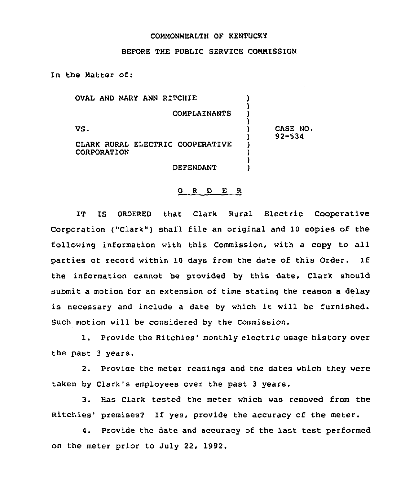## COMMONWEALTH OF KENTUCKY

## BEFORE THE PUBLIC SERVICE COMMISSION

In the Matter of:

OVAL AND MARY ANN RITCHIE )

**COMPLAINANTS** 

)

)

)

)

 $\mathsf{vs.}$  ) and  $\mathsf{vs.}$ 

CASE NO. 92-534

CLARK RURAL ELECTRIC COOPERATIVE **CORPORATION** 

**DEFENDANT** 

## 0 <sup>R</sup> <sup>D</sup> E R

IT IS ORDERED that Clark Rural Electric Cooperative Corporation ("Clark") shall file an original and 10 copies of the following information with this Commission, with a copy to all parties of record within <sup>10</sup> days from the date of this Order. If the information cannot be provided by this date, Clark should submit a motion for an extension of time stating the reason a delay is necessary and include <sup>a</sup> date by which it will be furnished. Such motion will be considered by the Commission.

1. Provide the Ritchies' monthly electric usage history over the past 3 years.

2. Provide the meter readings and the dates which they were taken by Clark's employees over the past 3 years.

3. Has Clark tested the meter which was removed from the Ritchies' premises? If yes, provide the accuracy of the meter.

4. Provide the date and accuracy of the last test performed on the meter prior to July 22, 1992.